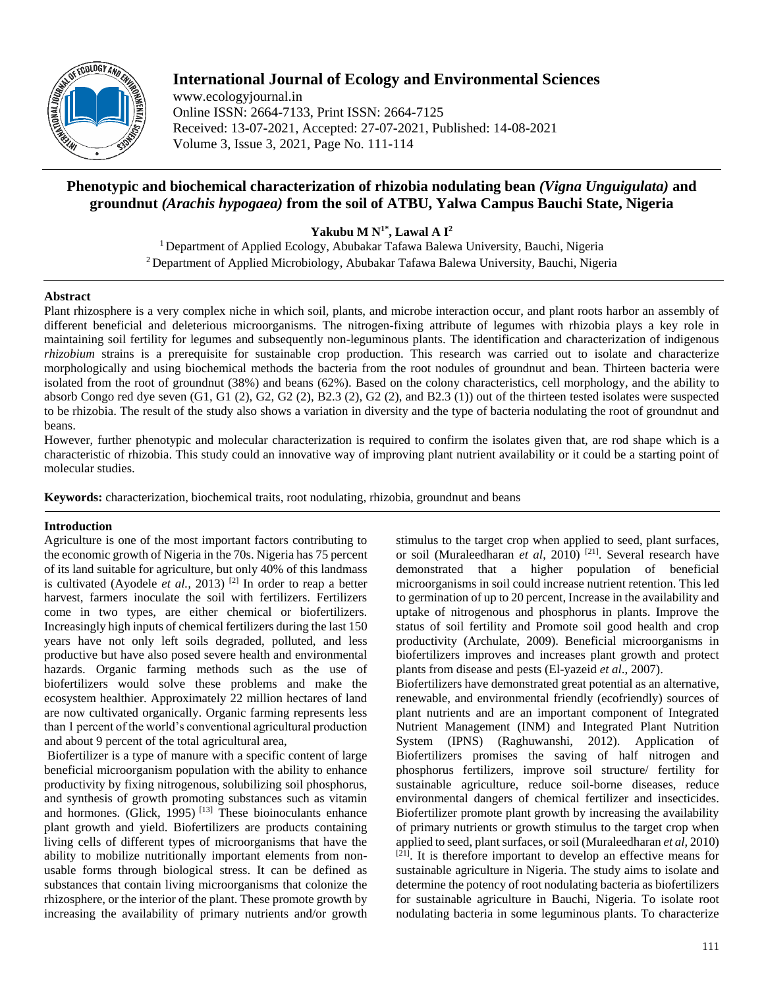

# **International Journal of Ecology and Environmental Sciences**

www.ecologyjournal.in Online ISSN: 2664-7133, Print ISSN: 2664-7125 Received: 13-07-2021, Accepted: 27-07-2021, Published: 14-08-2021 Volume 3, Issue 3, 2021, Page No. 111-114

## **Phenotypic and biochemical characterization of rhizobia nodulating bean** *(Vigna Unguigulata)* **and groundnut** *(Arachis hypogaea)* **from the soil of ATBU, Yalwa Campus Bauchi State, Nigeria**

**Yakubu M**  $N^1$ <sup>\*</sup>, Lawal A  $I^2$ 

<sup>1</sup> Department of Applied Ecology, Abubakar Tafawa Balewa University, Bauchi, Nigeria <sup>2</sup> Department of Applied Microbiology, Abubakar Tafawa Balewa University, Bauchi, Nigeria

## **Abstract**

Plant rhizosphere is a very complex niche in which soil, plants, and microbe interaction occur, and plant roots harbor an assembly of different beneficial and deleterious microorganisms. The nitrogen-fixing attribute of legumes with rhizobia plays a key role in maintaining soil fertility for legumes and subsequently non-leguminous plants. The identification and characterization of indigenous *rhizobium* strains is a prerequisite for sustainable crop production. This research was carried out to isolate and characterize morphologically and using biochemical methods the bacteria from the root nodules of groundnut and bean. Thirteen bacteria were isolated from the root of groundnut (38%) and beans (62%). Based on the colony characteristics, cell morphology, and the ability to absorb Congo red dye seven (G1, G1 (2), G2, G2 (2), B2.3 (2), G2 (2), and B2.3 (1)) out of the thirteen tested isolates were suspected to be rhizobia. The result of the study also shows a variation in diversity and the type of bacteria nodulating the root of groundnut and beans.

However, further phenotypic and molecular characterization is required to confirm the isolates given that, are rod shape which is a characteristic of rhizobia. This study could an innovative way of improving plant nutrient availability or it could be a starting point of molecular studies.

**Keywords:** characterization, biochemical traits, root nodulating, rhizobia, groundnut and beans

## **Introduction**

Agriculture is one of the most important factors contributing to the economic growth of Nigeria in the 70s. Nigeria has 75 percent of its land suitable for agriculture, but only 40% of this landmass is cultivated (Ayodele *et al.,* 2013) [2] In order to reap a better harvest, farmers inoculate the soil with fertilizers. Fertilizers come in two types, are either chemical or biofertilizers. Increasingly high inputs of chemical fertilizers during the last 150 years have not only left soils degraded, polluted, and less productive but have also posed severe health and environmental hazards. Organic farming methods such as the use of biofertilizers would solve these problems and make the ecosystem healthier. Approximately 22 million hectares of land are now cultivated organically. Organic farming represents less than 1 percent of the world's conventional agricultural production and about 9 percent of the total agricultural area,

Biofertilizer is a type of manure with a specific content of large beneficial microorganism population with the ability to enhance productivity by fixing nitrogenous, solubilizing soil phosphorus, and synthesis of growth promoting substances such as vitamin and hormones. (Glick,  $1995$ )<sup>[13]</sup> These bioinoculants enhance plant growth and yield. Biofertilizers are products containing living cells of different types of microorganisms that have the ability to mobilize nutritionally important elements from nonusable forms through biological stress. It can be defined as substances that contain living microorganisms that colonize the rhizosphere, or the interior of the plant. These promote growth by increasing the availability of primary nutrients and/or growth stimulus to the target crop when applied to seed, plant surfaces, or soil (Muraleedharan *et al*, 2010)<sup>[21]</sup>. Several research have demonstrated that a higher population of beneficial microorganisms in soil could increase nutrient retention. This led to germination of up to 20 percent, Increase in the availability and uptake of nitrogenous and phosphorus in plants. Improve the status of soil fertility and Promote soil good health and crop productivity (Archulate, 2009). Beneficial microorganisms in biofertilizers improves and increases plant growth and protect plants from disease and pests (El-yazeid *et al*., 2007).

Biofertilizers have demonstrated great potential as an alternative, renewable, and environmental friendly (ecofriendly) sources of plant nutrients and are an important component of Integrated Nutrient Management (INM) and Integrated Plant Nutrition System (IPNS) (Raghuwanshi, 2012). Application of Biofertilizers promises the saving of half nitrogen and phosphorus fertilizers, improve soil structure/ fertility for sustainable agriculture, reduce soil-borne diseases, reduce environmental dangers of chemical fertilizer and insecticides. Biofertilizer promote plant growth by increasing the availability of primary nutrients or growth stimulus to the target crop when applied to seed, plant surfaces, or soil (Muraleedharan *et al*, 2010)  $[21]$ . It is therefore important to develop an effective means for sustainable agriculture in Nigeria. The study aims to isolate and determine the potency of root nodulating bacteria as biofertilizers for sustainable agriculture in Bauchi, Nigeria. To isolate root nodulating bacteria in some leguminous plants. To characterize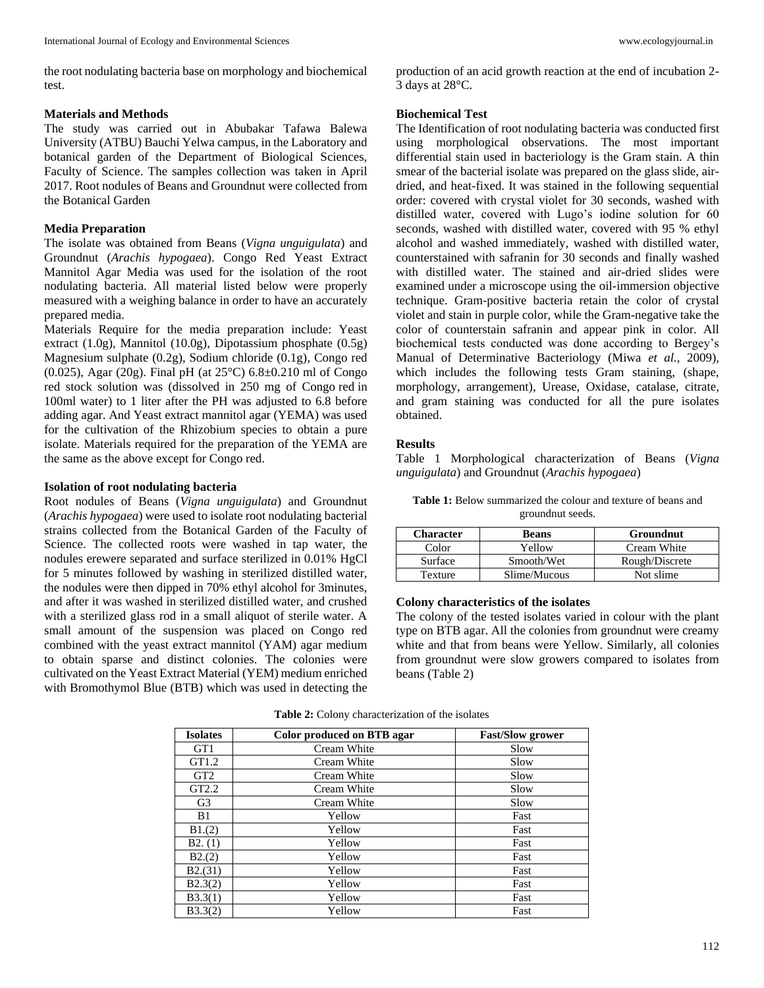the root nodulating bacteria base on morphology and biochemical test.

#### **Materials and Methods**

The study was carried out in Abubakar Tafawa Balewa University (ATBU) Bauchi Yelwa campus, in the Laboratory and botanical garden of the Department of Biological Sciences, Faculty of Science. The samples collection was taken in April 2017. Root nodules of Beans and Groundnut were collected from the Botanical Garden

#### **Media Preparation**

The isolate was obtained from Beans (*Vigna unguigulata*) and Groundnut (*Arachis hypogaea*). Congo Red Yeast Extract Mannitol Agar Media was used for the isolation of the root nodulating bacteria. All material listed below were properly measured with a weighing balance in order to have an accurately prepared media.

Materials Require for the media preparation include: Yeast extract (1.0g), Mannitol (10.0g), Dipotassium phosphate (0.5g) Magnesium sulphate (0.2g), Sodium chloride (0.1g), Congo red (0.025), Agar (20g). Final pH (at  $25^{\circ}$ C) 6.8 $\pm$ 0.210 ml of Congo red stock solution was (dissolved in 250 mg of Congo red in 100ml water) to 1 liter after the PH was adjusted to 6.8 before adding agar. And Yeast extract mannitol agar (YEMA) was used for the cultivation of the Rhizobium species to obtain a pure isolate. Materials required for the preparation of the YEMA are the same as the above except for Congo red.

#### **Isolation of root nodulating bacteria**

Root nodules of Beans (*Vigna unguigulata*) and Groundnut (*Arachis hypogaea*) were used to isolate root nodulating bacterial strains collected from the Botanical Garden of the Faculty of Science. The collected roots were washed in tap water, the nodules erewere separated and surface sterilized in 0.01% HgCl for 5 minutes followed by washing in sterilized distilled water, the nodules were then dipped in 70% ethyl alcohol for 3minutes, and after it was washed in sterilized distilled water, and crushed with a sterilized glass rod in a small aliquot of sterile water. A small amount of the suspension was placed on Congo red combined with the yeast extract mannitol (YAM) agar medium to obtain sparse and distinct colonies. The colonies were cultivated on the Yeast Extract Material (YEM) medium enriched with Bromothymol Blue (BTB) which was used in detecting the production of an acid growth reaction at the end of incubation 2- 3 days at 28°C.

#### **Biochemical Test**

The Identification of root nodulating bacteria was conducted first using morphological observations. The most important differential stain used in bacteriology is the Gram stain. A thin smear of the bacterial isolate was prepared on the glass slide, airdried, and heat-fixed. It was stained in the following sequential order: covered with crystal violet for 30 seconds, washed with distilled water, covered with Lugo's iodine solution for 60 seconds, washed with distilled water, covered with 95 % ethyl alcohol and washed immediately, washed with distilled water, counterstained with safranin for 30 seconds and finally washed with distilled water. The stained and air-dried slides were examined under a microscope using the oil-immersion objective technique. Gram-positive bacteria retain the color of crystal violet and stain in purple color, while the Gram-negative take the color of counterstain safranin and appear pink in color. All biochemical tests conducted was done according to Bergey's Manual of Determinative Bacteriology (Miwa *et al.,* 2009), which includes the following tests Gram staining, (shape, morphology, arrangement), Urease, Oxidase, catalase, citrate, and gram staining was conducted for all the pure isolates obtained.

#### **Results**

Table 1 Morphological characterization of Beans (*Vigna unguigulata*) and Groundnut (*Arachis hypogaea*)

| <b>Table 1:</b> Below summarized the colour and texture of beans and |
|----------------------------------------------------------------------|
| ground nut seeds.                                                    |

| <b>Character</b> | <b>Beans</b> | <b>Groundnut</b> |
|------------------|--------------|------------------|
| Color            | Yellow       | Cream White      |
| Surface          | Smooth/Wet   | Rough/Discrete   |
| Texture          | Slime/Mucous | Not slime        |

#### **Colony characteristics of the isolates**

The colony of the tested isolates varied in colour with the plant type on BTB agar. All the colonies from groundnut were creamy white and that from beans were Yellow. Similarly, all colonies from groundnut were slow growers compared to isolates from beans (Table 2)

| <b>Isolates</b> | Color produced on BTB agar | <b>Fast/Slow grower</b> |
|-----------------|----------------------------|-------------------------|
| GT <sub>1</sub> | Cream White                | Slow                    |
| GT1.2           | Cream White                | Slow                    |
| GT <sub>2</sub> | Cream White                | Slow                    |
| GT2.2           | Cream White                | Slow                    |
| G <sub>3</sub>  | Cream White                | Slow                    |
| B1              | Yellow                     | Fast                    |
| B1.(2)          | Yellow                     | Fast                    |
| B2. (1)         | Yellow                     | Fast                    |
| B2.(2)          | Yellow                     | Fast                    |
| B2.(31)         | Yellow                     | Fast                    |
| B2.3(2)         | Yellow                     | Fast                    |
| B3.3(1)         | Yellow                     | Fast                    |
| B3.3(2)         | Yellow                     | Fast                    |

| Table 2: Colony characterization of the isolates |  |  |
|--------------------------------------------------|--|--|
|--------------------------------------------------|--|--|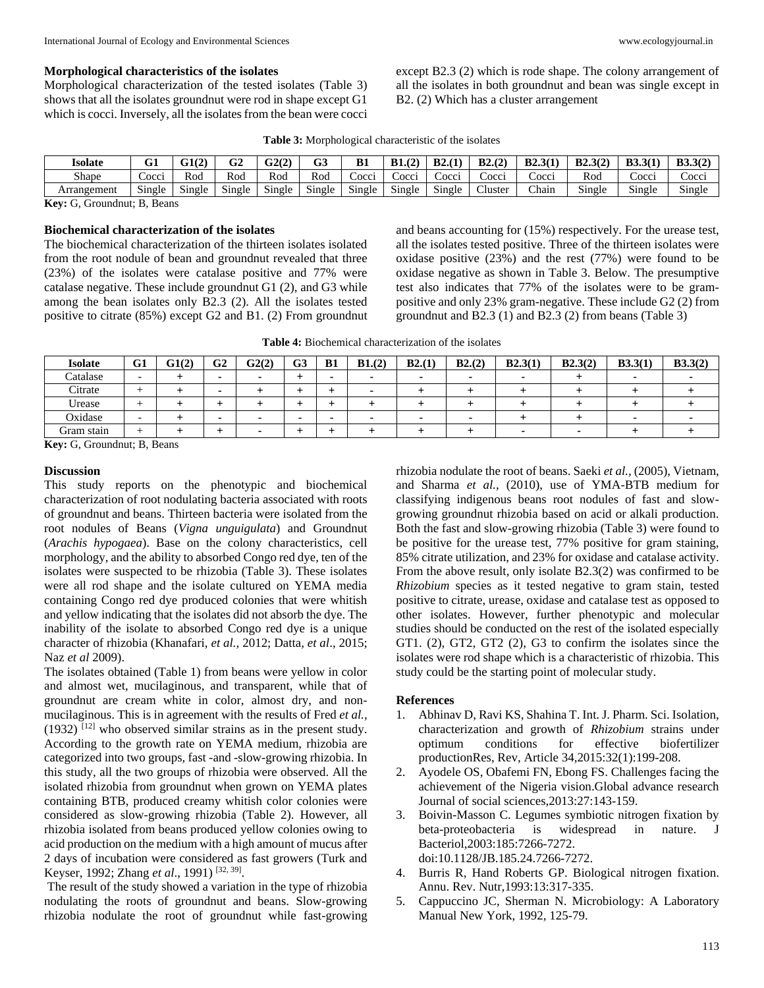#### **Morphological characteristics of the isolates**

Morphological characterization of the tested isolates (Table 3) shows that all the isolates groundnut were rod in shape except G1 which is cocci. Inversely, all the isolates from the bean were cocci except B2.3 (2) which is rode shape. The colony arrangement of all the isolates in both groundnut and bean was single except in B2. (2) Which has a cluster arrangement

| Table 3: Morphological characteristic of the isolates |  |  |  |
|-------------------------------------------------------|--|--|--|
|-------------------------------------------------------|--|--|--|

| Isolate                          | G1             | G1(2)                   | o٥<br>UΖ         | G2(2   | G3               | B1     | B1(2)          | B2(1)            | B2(2)                   | B2.3(1) | B2.3(2)          | B3.3(1)                        | B3.3(2)                  |
|----------------------------------|----------------|-------------------------|------------------|--------|------------------|--------|----------------|------------------|-------------------------|---------|------------------|--------------------------------|--------------------------|
| Shape                            | $\sim$<br>COC1 | Rod                     | Rod              | Rod    | Rod              | Cocci  | $\sim$<br>COC1 | Cocci            | $\sim$ $\sim$<br>Cocci  | Cocci   | Rod              | $\sim$<br>Cocc                 | Cocci                    |
| Arrangement                      | Single         | $\sim$ $\sim$<br>Single | $\sim$<br>Single | Single | $\sim$<br>Single | Single | Single         | $\sim$<br>Single | $\sim$<br>$\cup$ luster | Chain   | $\sim$<br>Single | $\sim$ $\sim$ $\sim$<br>Single | $\sim$ $\cdot$<br>Single |
| $V_{\alpha n} \cap C_{\alpha n}$ |                |                         |                  |        |                  |        |                |                  |                         |         |                  |                                |                          |

**Key:** G, Groundnut; B, Beans

#### **Biochemical characterization of the isolates**

The biochemical characterization of the thirteen isolates isolated from the root nodule of bean and groundnut revealed that three (23%) of the isolates were catalase positive and 77% were catalase negative. These include groundnut G1 (2), and G3 while among the bean isolates only B2.3 (2). All the isolates tested positive to citrate (85%) except G2 and B1. (2) From groundnut and beans accounting for (15%) respectively. For the urease test, all the isolates tested positive. Three of the thirteen isolates were oxidase positive (23%) and the rest (77%) were found to be oxidase negative as shown in Table 3. Below. The presumptive test also indicates that 77% of the isolates were to be grampositive and only 23% gram-negative. These include G2 (2) from groundnut and B2.3 (1) and B2.3 (2) from beans (Table 3)

| <b>Table 4:</b> Biochemical characterization of the isolates |
|--------------------------------------------------------------|
|--------------------------------------------------------------|

| <b>Isolate</b> | G1                       | G1(2) | G <sub>2</sub> | G2(2) | G <sub>3</sub> | B1 | B1.(2) | B2(1) | B2(2) | B2.3(1) | B2.3(2) | B3.3(1) | B3.3(2) |
|----------------|--------------------------|-------|----------------|-------|----------------|----|--------|-------|-------|---------|---------|---------|---------|
| Catalase       | $\overline{\phantom{0}}$ |       | -              |       |                |    |        |       |       |         |         |         |         |
| Citrate        |                          |       |                |       |                |    |        |       |       |         |         |         |         |
| Urease         |                          |       |                |       |                |    |        |       |       |         |         |         |         |
| Oxidase        | $\overline{\phantom{0}}$ |       | -              |       |                |    |        |       |       |         |         | -       |         |
| Gram stain     |                          |       |                |       |                |    |        |       |       |         |         |         |         |

**Key:** G, Groundnut; B, Beans

## **Discussion**

This study reports on the phenotypic and biochemical characterization of root nodulating bacteria associated with roots of groundnut and beans. Thirteen bacteria were isolated from the root nodules of Beans (*Vigna unguigulata*) and Groundnut (*Arachis hypogaea*). Base on the colony characteristics, cell morphology, and the ability to absorbed Congo red dye, ten of the isolates were suspected to be rhizobia (Table 3). These isolates were all rod shape and the isolate cultured on YEMA media containing Congo red dye produced colonies that were whitish and yellow indicating that the isolates did not absorb the dye. The inability of the isolate to absorbed Congo red dye is a unique character of rhizobia (Khanafari, *et al.,* 2012; Datta*, et al*., 2015; Naz *et al* 2009).

The isolates obtained (Table 1) from beans were yellow in color and almost wet, mucilaginous, and transparent, while that of groundnut are cream white in color, almost dry, and nonmucilaginous. This is in agreement with the results of Fred *et al.,*   $(1932)$ <sup>[12]</sup> who observed similar strains as in the present study. According to the growth rate on YEMA medium, rhizobia are categorized into two groups, fast -and -slow-growing rhizobia. In this study, all the two groups of rhizobia were observed. All the isolated rhizobia from groundnut when grown on YEMA plates containing BTB, produced creamy whitish color colonies were considered as slow-growing rhizobia (Table 2). However, all rhizobia isolated from beans produced yellow colonies owing to acid production on the medium with a high amount of mucus after 2 days of incubation were considered as fast growers (Turk and Keyser, 1992; Zhang *et al.*, 1991)<sup>[32, 39]</sup>.

The result of the study showed a variation in the type of rhizobia nodulating the roots of groundnut and beans. Slow-growing rhizobia nodulate the root of groundnut while fast-growing rhizobia nodulate the root of beans. Saeki *et al.,* (2005), Vietnam, and Sharma *et al.,* (2010), use of YMA-BTB medium for classifying indigenous beans root nodules of fast and slowgrowing groundnut rhizobia based on acid or alkali production. Both the fast and slow-growing rhizobia (Table 3) were found to be positive for the urease test, 77% positive for gram staining, 85% citrate utilization, and 23% for oxidase and catalase activity. From the above result, only isolate B2.3(2) was confirmed to be *Rhizobium* species as it tested negative to gram stain, tested positive to citrate, urease, oxidase and catalase test as opposed to other isolates. However, further phenotypic and molecular studies should be conducted on the rest of the isolated especially GT1. (2), GT2, GT2 (2), G3 to confirm the isolates since the isolates were rod shape which is a characteristic of rhizobia. This study could be the starting point of molecular study.

#### **References**

- 1. Abhinav D, Ravi KS, Shahina T. Int. J. Pharm. Sci. Isolation, characterization and growth of *Rhizobium* strains under optimum conditions for effective biofertilizer productionRes, Rev, Article 34,2015:32(1):199-208.
- 2. Ayodele OS, Obafemi FN, Ebong FS. Challenges facing the achievement of the Nigeria vision.Global advance research Journal of social sciences,2013:27:143-159.
- 3. Boivin-Masson C. Legumes symbiotic nitrogen fixation by beta-proteobacteria is widespread in nature. J Bacteriol,2003:185:7266-7272. doi:10.1128/JB.185.24.7266-7272.
- 4. Burris R, Hand Roberts GP. Biological nitrogen fixation. Annu. Rev. Nutr,1993:13:317-335.
- 5. Cappuccino JC, Sherman N. Microbiology: A Laboratory Manual New York, 1992, 125-79.